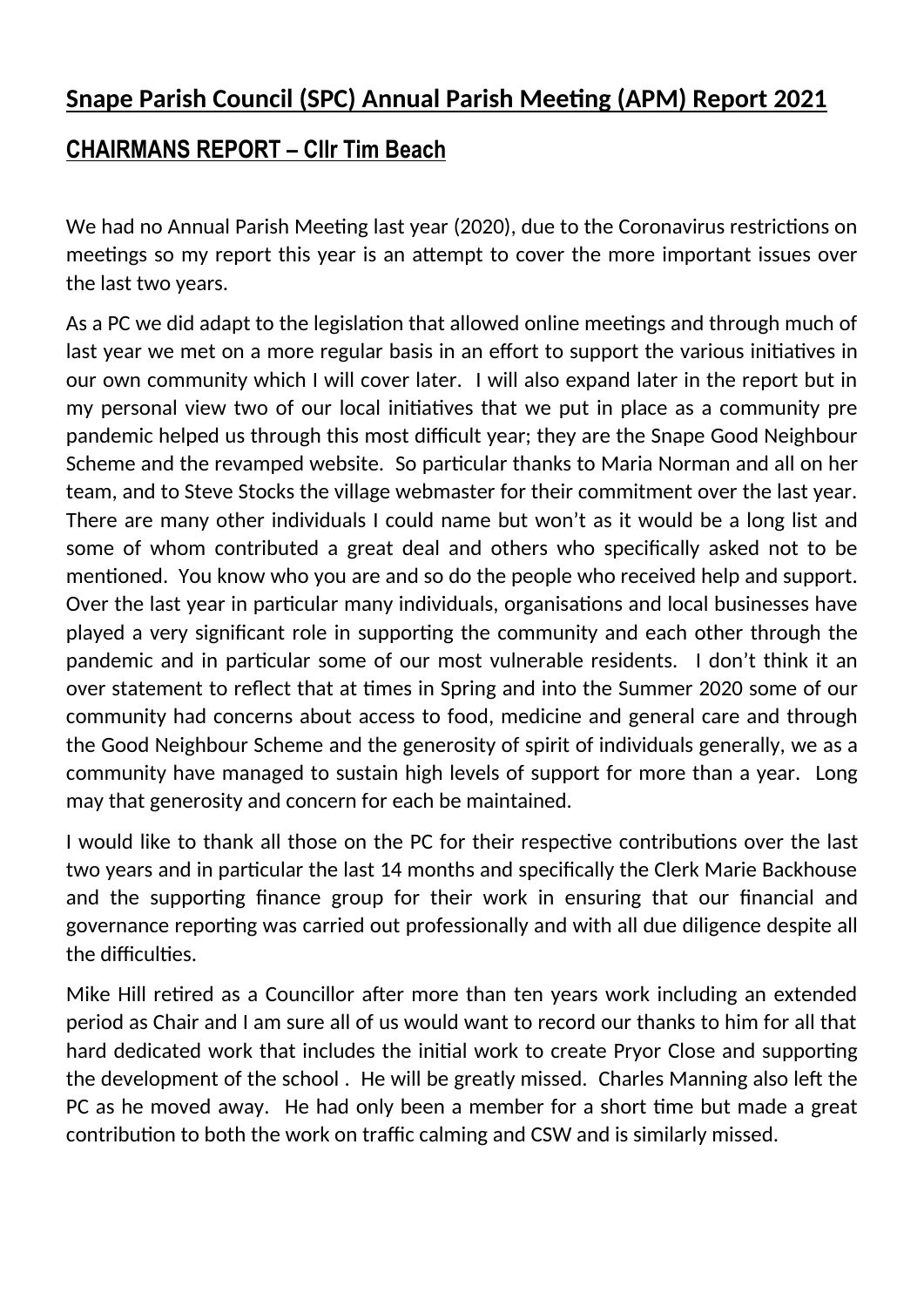# **Snape Parish Council (SPC) Annual Parish Meeting (APM) Report 2021**

## **CHAIRMANS REPORT – Cllr Tim Beach**

We had no Annual Parish Meeting last year (2020), due to the Coronavirus restrictions on meetings so my report this year is an attempt to cover the more important issues over the last two years.

As a PC we did adapt to the legislation that allowed online meetings and through much of last year we met on a more regular basis in an effort to support the various initiatives in our own community which I will cover later. I will also expand later in the report but in my personal view two of our local initiatives that we put in place as a community pre pandemic helped us through this most difficult year; they are the Snape Good Neighbour Scheme and the revamped website. So particular thanks to Maria Norman and all on her team, and to Steve Stocks the village webmaster for their commitment over the last year. There are many other individuals I could name but won't as it would be a long list and some of whom contributed a great deal and others who specifically asked not to be mentioned. You know who you are and so do the people who received help and support. Over the last year in particular many individuals, organisations and local businesses have played a very significant role in supporting the community and each other through the pandemic and in particular some of our most vulnerable residents. I don't think it an over statement to reflect that at times in Spring and into the Summer 2020 some of our community had concerns about access to food, medicine and general care and through the Good Neighbour Scheme and the generosity of spirit of individuals generally, we as a community have managed to sustain high levels of support for more than a year. Long may that generosity and concern for each be maintained.

I would like to thank all those on the PC for their respective contributions over the last two years and in particular the last 14 months and specifically the Clerk Marie Backhouse and the supporting finance group for their work in ensuring that our financial and governance reporting was carried out professionally and with all due diligence despite all the difficulties.

Mike Hill retired as a Councillor after more than ten years work including an extended period as Chair and I am sure all of us would want to record our thanks to him for all that hard dedicated work that includes the initial work to create Pryor Close and supporting the development of the school. He will be greatly missed. Charles Manning also left the PC as he moved away. He had only been a member for a short time but made a great contribution to both the work on traffic calming and CSW and is similarly missed.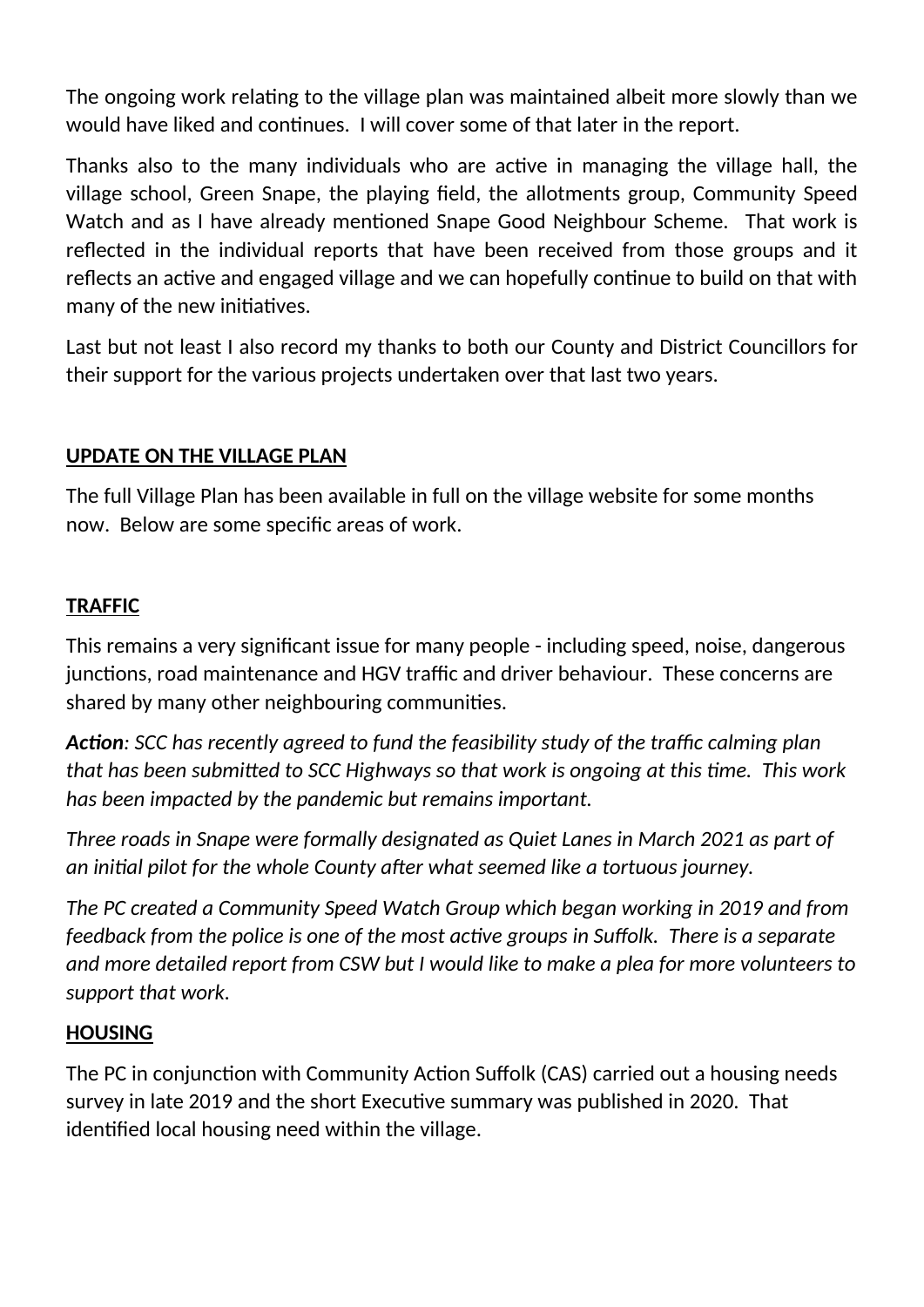The ongoing work relating to the village plan was maintained albeit more slowly than we would have liked and continues. I will cover some of that later in the report.

Thanks also to the many individuals who are active in managing the village hall, the village school, Green Snape, the playing field, the allotments group, Community Speed Watch and as I have already mentioned Snape Good Neighbour Scheme. That work is reflected in the individual reports that have been received from those groups and it reflects an active and engaged village and we can hopefully continue to build on that with many of the new initiatives.

Last but not least I also record my thanks to both our County and District Councillors for their support for the various projects undertaken over that last two years.

## **UPDATE ON THE VILLAGE PLAN**

The full Village Plan has been available in full on the village website for some months now. Below are some specific areas of work.

## **TRAFFIC**

This remains a very significant issue for many people - including speed, noise, dangerous junctions, road maintenance and HGV traffic and driver behaviour. These concerns are shared by many other neighbouring communities.

Action: SCC has recently agreed to fund the feasibility study of the traffic calming plan *that has been submitted to SCC Highways so that work is ongoing at this time. This work has been impacted by the pandemic but remains important.*

*Three roads in Snape were formally designated as Quiet Lanes in March 2021 as part of*  an initial pilot for the whole County after what seemed like a tortuous journey.

*The PC created a Community Speed Watch Group which began working in 2019 and from feedback from the police is one of the most active groups in Suffolk. There is a separate and more detailed report from CSW but I would like to make a plea for more volunteers to support that work.*

#### **HOUSING**

The PC in conjunction with Community Action Suffolk (CAS) carried out a housing needs survey in late 2019 and the short Executive summary was published in 2020. That identified local housing need within the village.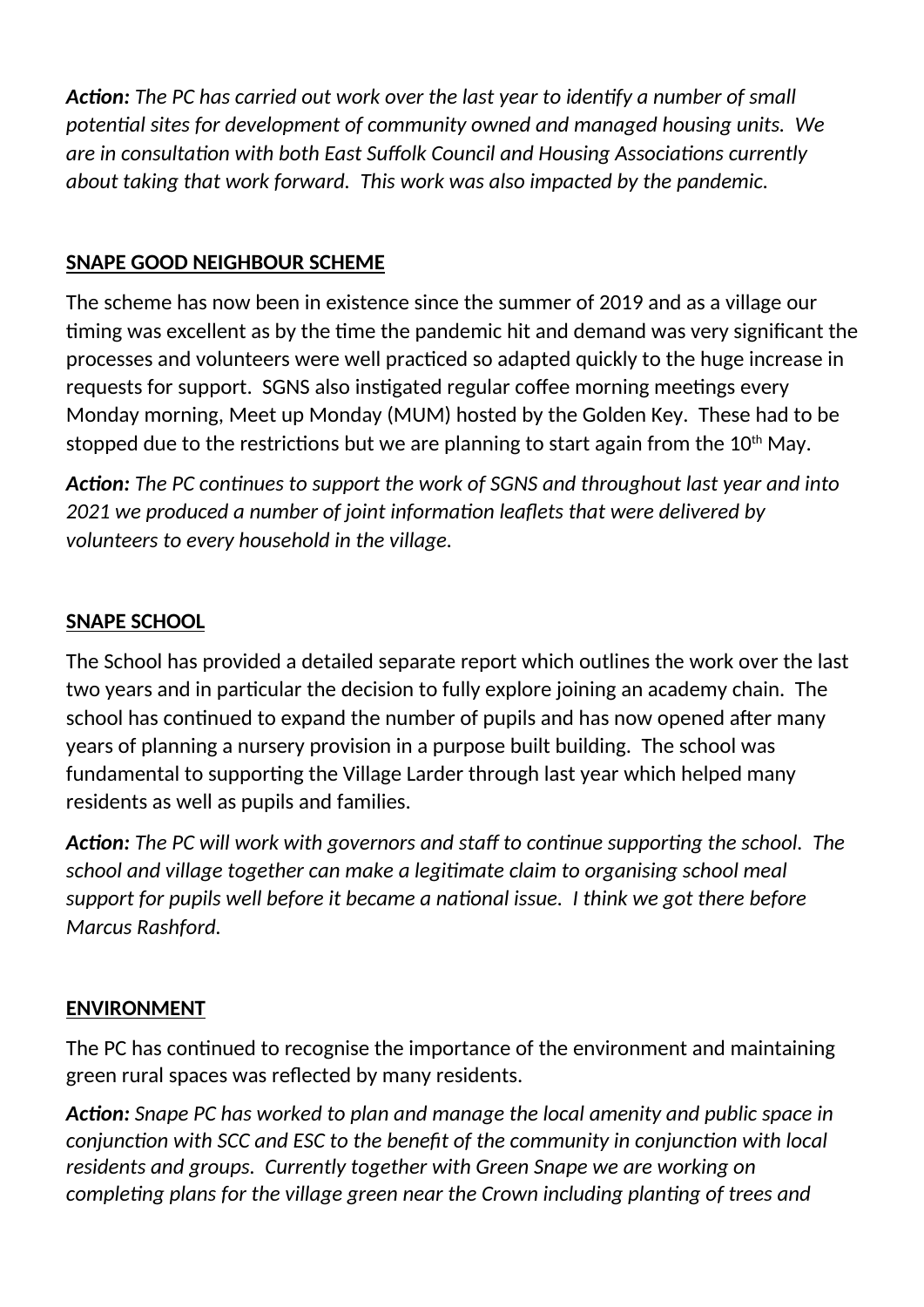**Action:** The PC has carried out work over the last year to identify a number of small potential sites for development of community owned and managed housing units. We *are in consultation with both East Suffolk Council and Housing Associations currently about taking that work forward. This work was also impacted by the pandemic.*

## **SNAPE GOOD NEIGHBOUR SCHEME**

The scheme has now been in existence since the summer of 2019 and as a village our timing was excellent as by the time the pandemic hit and demand was very significant the processes and volunteers were well practiced so adapted quickly to the huge increase in requests for support. SGNS also instigated regular coffee morning meetings every Monday morning, Meet up Monday (MUM) hosted by the Golden Key. These had to be stopped due to the restrictions but we are planning to start again from the  $10<sup>th</sup>$  May.

Action: The PC continues to support the work of SGNS and throughout last year and into *2021 we produced a number of joint information leaflets that were delivered by volunteers to every household in the village.* 

## **SNAPE SCHOOL**

The School has provided a detailed separate report which outlines the work over the last two years and in particular the decision to fully explore joining an academy chain. The school has continued to expand the number of pupils and has now opened after many years of planning a nursery provision in a purpose built building. The school was fundamental to supporting the Village Larder through last year which helped many residents as well as pupils and families.

**Action:** The PC will work with governors and staff to continue supporting the school. The *school and village together can make a legitimate claim to organising school meal* support for pupils well before it became a national issue. I think we got there before *Marcus Rashford.*

## **ENVIRONMENT**

The PC has continued to recognise the importance of the environment and maintaining green rural spaces was reflected by many residents.

Action: Snape PC has worked to plan and manage the local amenity and public space in *conjunction with SCC and ESC to the benefit of the community in conjunction with local residents and groups. Currently together with Green Snape we are working on completing plans for the village green near the Crown including planting of trees and*